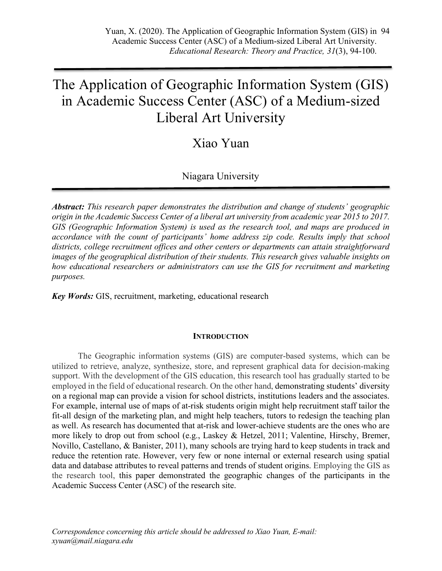# The Application of Geographic Information System (GIS) in Academic Success Center (ASC) of a Medium-sized Liberal Art University

## Xiao Yuan

## Niagara University

*Abstract: This research paper demonstrates the distribution and change of students' geographic origin in the Academic Success Center of a liberal art university from academic year 2015 to 2017. GIS (Geographic Information System) is used as the research tool, and maps are produced in accordance with the count of participants' home address zip code. Results imply that school districts, college recruitment offices and other centers or departments can attain straightforward images of the geographical distribution of their students. This research gives valuable insights on how educational researchers or administrators can use the GIS for recruitment and marketing purposes.*

*Key Words:* GIS, recruitment, marketing, educational research

## **INTRODUCTION**

The Geographic information systems (GIS) are computer-based systems, which can be utilized to retrieve, analyze, synthesize, store, and represent graphical data for decision-making support. With the development of the GIS education, this research tool has gradually started to be employed in the field of educational research. On the other hand, demonstrating students' diversity on a regional map can provide a vision for school districts, institutions leaders and the associates. For example, internal use of maps of at-risk students origin might help recruitment staff tailor the fit-all design of the marketing plan, and might help teachers, tutors to redesign the teaching plan as well. As research has documented that at-risk and lower-achieve students are the ones who are more likely to drop out from school (e.g., Laskey & Hetzel, 2011; Valentine, Hirschy, Bremer, Novillo, Castellano, & Banister, 2011), many schools are trying hard to keep students in track and reduce the retention rate. However, very few or none internal or external research using spatial data and database attributes to reveal patterns and trends of student origins. Employing the GIS as the research tool, this paper demonstrated the geographic changes of the participants in the Academic Success Center (ASC) of the research site.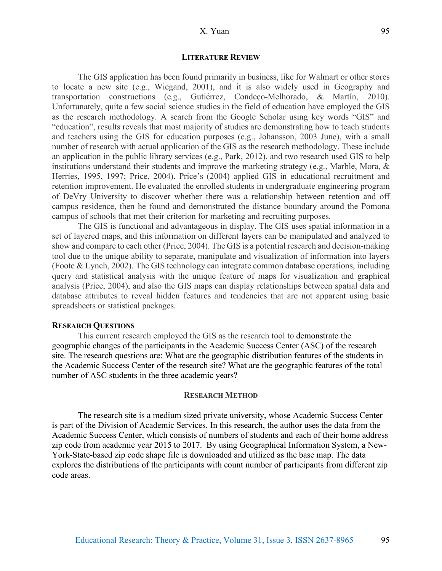#### **LITERATURE REVIEW**

The GIS application has been found primarily in business, like for Walmart or other stores to locate a new site (e.g., Wiegand, 2001), and it is also widely used in Geography and transportation constructions (e.g., Gutiérrez, Condeço-Melhorado, & Martín, 2010). Unfortunately, quite a few social science studies in the field of education have employed the GIS as the research methodology. A search from the Google Scholar using key words "GIS" and "education", results reveals that most majority of studies are demonstrating how to teach students and teachers using the GIS for education purposes (e.g., Johansson, 2003 June), with a small number of research with actual application of the GIS as the research methodology. These include an application in the public library services (e.g., Park, 2012), and two research used GIS to help institutions understand their students and improve the marketing strategy (e.g., Marble, Mora, & Herries, 1995, 1997; Price, 2004). Price's (2004) applied GIS in educational recruitment and retention improvement. He evaluated the enrolled students in undergraduate engineering program of DeVry University to discover whether there was a relationship between retention and off campus residence, then he found and demonstrated the distance boundary around the Pomona campus of schools that met their criterion for marketing and recruiting purposes.

The GIS is functional and advantageous in display. The GIS uses spatial information in a set of layered maps, and this information on different layers can be manipulated and analyzed to show and compare to each other (Price, 2004). The GIS is a potential research and decision-making tool due to the unique ability to separate, manipulate and visualization of information into layers (Foote & Lynch, 2002). The GIS technology can integrate common database operations, including query and statistical analysis with the unique feature of maps for visualization and graphical analysis (Price, 2004), and also the GIS maps can display relationships between spatial data and database attributes to reveal hidden features and tendencies that are not apparent using basic spreadsheets or statistical packages.

#### **RESEARCH QUESTIONS**

This current research employed the GIS as the research tool to demonstrate the geographic changes of the participants in the Academic Success Center (ASC) of the research site. The research questions are: What are the geographic distribution features of the students in the Academic Success Center of the research site? What are the geographic features of the total number of ASC students in the three academic years?

#### **RESEARCH METHOD**

The research site is a medium sized private university, whose Academic Success Center is part of the Division of Academic Services. In this research, the author uses the data from the Academic Success Center, which consists of numbers of students and each of their home address zip code from academic year 2015 to 2017. By using Geographical Information System, a New-York-State-based zip code shape file is downloaded and utilized as the base map. The data explores the distributions of the participants with count number of participants from different zip code areas.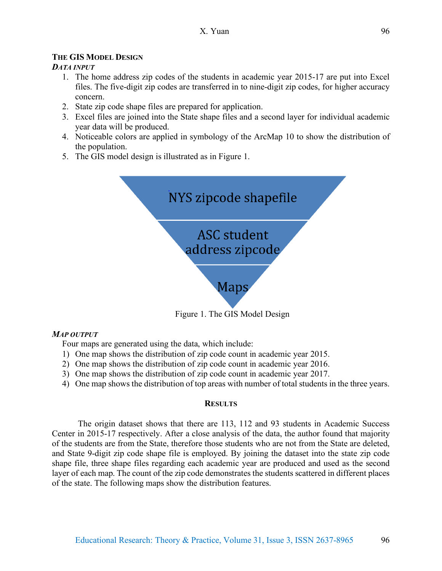## **THE GIS MODEL DESIGN**

## *DATA INPUT*

- 1. The home address zip codes of the students in academic year 2015-17 are put into Excel files. The five-digit zip codes are transferred in to nine-digit zip codes, for higher accuracy concern.
- 2. State zip code shape files are prepared for application.
- 3. Excel files are joined into the State shape files and a second layer for individual academic year data will be produced.
- 4. Noticeable colors are applied in symbology of the ArcMap 10 to show the distribution of the population.
- 5. The GIS model design is illustrated as in Figure 1.



Figure 1. The GIS Model Design

## *MAP OUTPUT*

Four maps are generated using the data, which include:

- 1) One map shows the distribution of zip code count in academic year 2015.
- 2) One map shows the distribution of zip code count in academic year 2016.
- 3) One map shows the distribution of zip code count in academic year 2017.
- 4) One map shows the distribution of top areas with number of total students in the three years.

## **RESULTS**

The origin dataset shows that there are 113, 112 and 93 students in Academic Success Center in 2015-17 respectively. After a close analysis of the data, the author found that majority of the students are from the State, therefore those students who are not from the State are deleted, and State 9-digit zip code shape file is employed. By joining the dataset into the state zip code shape file, three shape files regarding each academic year are produced and used as the second layer of each map. The count of the zip code demonstrates the students scattered in different places of the state. The following maps show the distribution features.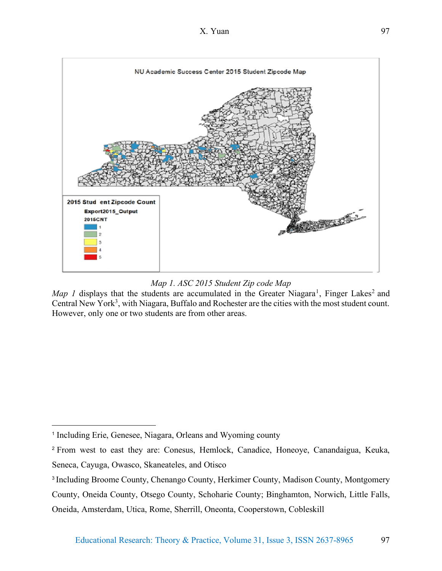

*Map 1. ASC 2015 Student Zip code Map*

*Map 1* displays that the students are accumulated in the Greater Niagara<sup>1</sup>, Finger Lakes<sup>2</sup> and Central New York<sup>3</sup>, with Niagara, Buffalo and Rochester are the cities with the most student count. However, only one or two students are from other areas.

 $\overline{a}$ 

<sup>1</sup> Including Erie, Genesee, Niagara, Orleans and Wyoming county

<sup>2</sup> From west to east they are: Conesus, Hemlock, Canadice, Honeoye, Canandaigua, Keuka, Seneca, Cayuga, Owasco, Skaneateles, and Otisco

<sup>3</sup> Including Broome County, Chenango County, Herkimer County, Madison County, Montgomery

County, Oneida County, Otsego County, Schoharie County; Binghamton, Norwich, Little Falls, Oneida, Amsterdam, Utica, Rome, Sherrill, Oneonta, Cooperstown, Cobleskill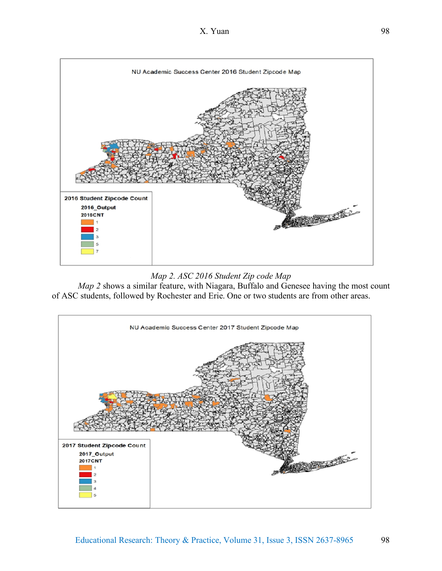

*Map 2. ASC 2016 Student Zip code Map*

*Map 2* shows a similar feature, with Niagara, Buffalo and Genesee having the most count of ASC students, followed by Rochester and Erie. One or two students are from other areas.

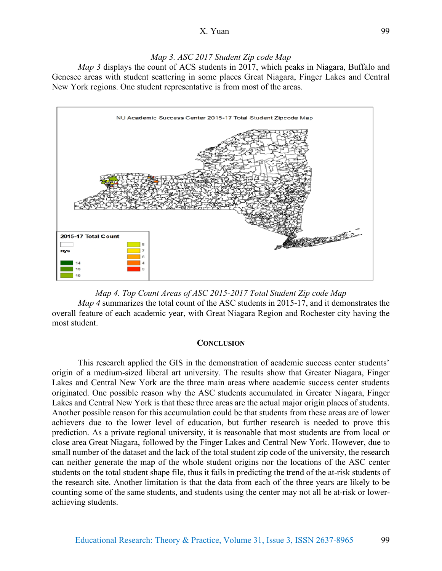## *Map 3. ASC 2017 Student Zip code Map*

*Map 3* displays the count of ACS students in 2017, which peaks in Niagara, Buffalo and Genesee areas with student scattering in some places Great Niagara, Finger Lakes and Central New York regions. One student representative is from most of the areas.





#### **CONCLUSION**

This research applied the GIS in the demonstration of academic success center students' origin of a medium-sized liberal art university. The results show that Greater Niagara, Finger Lakes and Central New York are the three main areas where academic success center students originated. One possible reason why the ASC students accumulated in Greater Niagara, Finger Lakes and Central New York is that these three areas are the actual major origin places of students. Another possible reason for this accumulation could be that students from these areas are of lower achievers due to the lower level of education, but further research is needed to prove this prediction. As a private regional university, it is reasonable that most students are from local or close area Great Niagara, followed by the Finger Lakes and Central New York. However, due to small number of the dataset and the lack of the total student zip code of the university, the research can neither generate the map of the whole student origins nor the locations of the ASC center students on the total student shape file, thus it fails in predicting the trend of the at-risk students of the research site. Another limitation is that the data from each of the three years are likely to be counting some of the same students, and students using the center may not all be at-risk or lowerachieving students.